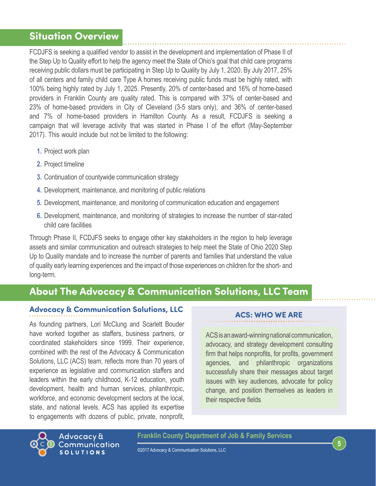## **Situation Overview**

FCDJFS is seeking a qualified vendor to assist in the development and implementation of Phase II of the Step Up to Quality effort to help the agency meet the State of Ohio's goal that child care programs receiving public dollars must be participating in Step Up to Quality by July 1, 2020. By July 2017, 25% of all centers and family child care Type A homes receiving public funds must be highly rated, with 100% being highly rated by July 1, 2025. Presently, 20% of center-based and 16% of home-based providers in Franklin County are quality rated. This is compared with 37% of center-based and 23% of home-based providers in City of Cleveland (3-5 stars only), and 36% of center-based and 7% of home-based providers in Hamilton County. As a result, FCDJFS is seeking a campaign that will leverage activity that was started in Phase I of the effort (May-September 2017). This would include but not be limited to the following:

- **1.** Project work plan
- **2.** Project timeline
- **3.** Continuation of countywide communication strategy
- **4.** Development, maintenance, and monitoring of public relations
- **5.** Development, maintenance, and monitoring of communication education and engagement
- **6.** Development, maintenance, and monitoring of strategies to increase the number of star-rated child care facilities

Through Phase II, FCDJFS seeks to engage other key stakeholders in the region to help leverage assets and similar communication and outreach strategies to help meet the State of Ohio 2020 Step Up to Quality mandate and to increase the number of parents and families that understand the value of quality early learning experiences and the impact of those experiences on children for the short- and long-term.

# **About The Advocacy & Communication Solutions, LLC Team**

## **Advocacy & Communication Solutions, LLC**

As founding partners, Lori McClung and Scarlett Bouder have worked together as staffers, business partners, or coordinated stakeholders since 1999. Their experience, combined with the rest of the Advocacy & Communication Solutions, LLC (ACS) team, reflects more than 70 years of experience as legislative and communication staffers and leaders within the early childhood, K-12 education, youth development, health and human services, philanthropic, workforce, and economic development sectors at the local, state, and national levels. ACS has applied its expertise to engagements with dozens of public, private, nonprofit,

### **ACS: WHO WE ARE**

ACS is an award-winning national communication, advocacy, and strategy development consulting firm that helps nonprofits, for profits, government agencies, and philanthropic organizations successfully share their messages about target issues with key audiences, advocate for policy change, and position themselves as leaders in their respective fields



**Franklin County Department of Job & Family Services**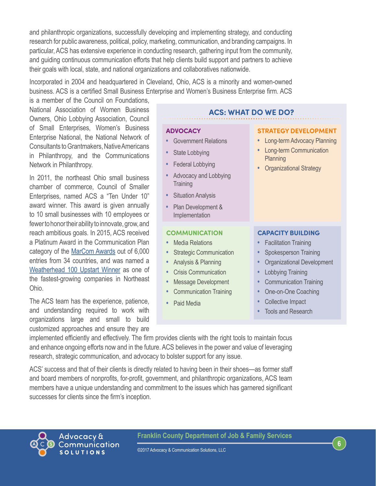and philanthropic organizations, successfully developing and implementing strategy, and conducting research for public awareness, political, policy, marketing, communication, and branding campaigns. In particular, ACS has extensive experience in conducting research, gathering input from the community, and guiding continuous communication efforts that help clients build support and partners to achieve their goals with local, state, and national organizations and collaboratives nationwide.

Incorporated in 2004 and headquartered in Cleveland, Ohio, ACS is a minority and women-owned business. ACS is a certified Small Business Enterprise and Women's Business Enterprise firm. ACS

is a member of the Council on Foundations, National Association of Women Business Owners, Ohio Lobbying Association, Council of Small Enterprises, Women's Business Enterprise National, the National Network of Consultants to Grantmakers, Native Americans in Philanthropy, and the Communications Network in Philanthropy.

In 2011, the northeast Ohio small business chamber of commerce, Council of Smaller Enterprises, named ACS a "Ten Under 10" award winner. This award is given annually to 10 small businesses with 10 employees or fewer to honor their ability to innovate, grow, and reach ambitious goals. In 2015, ACS received a Platinum Award in the Communication Plan category of the [MarCom Awards](http://click.icptrack.com/icp/relay.php?r=74094416&msgid=553335&act=LJGN&c=676730&destination=http%3A%2F%2Fmarcomawards.com) out of 6,000 entries from 34 countries, and was named a [Weatherhead 100 Upstart Winner](https://weatherhead.case.edu/weatherhead100/upstarts2015) as one of the fastest-growing companies in Northeast Ohio.

The ACS team has the experience, patience, and understanding required to work with organizations large and small to build customized approaches and ensure they are

#### **ACS: WHAT DO WE DO?**

#### **ADVOCACY**

- **•** Government Relations
- **•** State Lobbying
- **•** Federal Lobbying
- **•** Advocacy and Lobbying **Training**
- **•** Situation Analysis
- **•** Plan Development & Implementation

#### **COMMUNICATION**

- **•** Media Relations
- **•** Strategic Communication
- **•** Analysis & Planning
- **•** Crisis Communication
- **•** Message Development
- **•** Communication Training
- **•** Paid Media

#### **STRATEGY DEVELOPMENT •** Long-term Advocacy Planning

- **•** Long-term Communication Planning
- **•** Organizational Strategy

#### **CAPACITY BUILDING**

- **•** Facilitation Training
- **•** Spokesperson Training
- **•** Organizational Development

**6**

- **•** Lobbying Training
- **•** Communication Training
- **•** One-on-One Coaching
- **•** Collective Impact
- **•** Tools and Research

implemented efficiently and effectively. The firm provides clients with the right tools to maintain focus and enhance ongoing efforts now and in the future. ACS believes in the power and value of leveraging research, strategic communication, and advocacy to bolster support for any issue.

ACS' success and that of their clients is directly related to having been in their shoes—as former staff and board members of nonprofits, for-profit, government, and philanthropic organizations, ACS team members have a unique understanding and commitment to the issues which has garnered significant successes for clients since the firm's inception.



**Franklin County Department of Job & Family Services**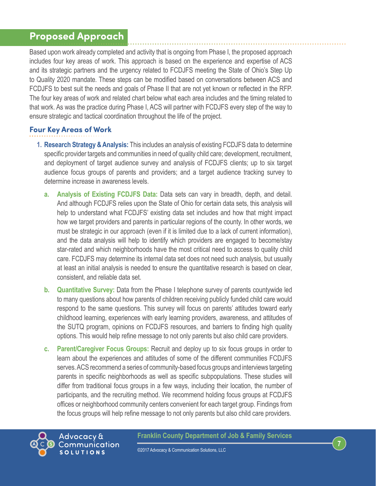# **Proposed Approach**

Based upon work already completed and activity that is ongoing from Phase I, the proposed approach includes four key areas of work. This approach is based on the experience and expertise of ACS and its strategic partners and the urgency related to FCDJFS meeting the State of Ohio's Step Up to Quality 2020 mandate. These steps can be modified based on conversations between ACS and FCDJFS to best suit the needs and goals of Phase II that are not yet known or reflected in the RFP. The four key areas of work and related chart below what each area includes and the timing related to that work. As was the practice during Phase I, ACS will partner with FCDJFS every step of the way to ensure strategic and tactical coordination throughout the life of the project.

## **Four Key Areas of Work**

- **1. Research Strategy & Analysis:** This includes an analysis of existing FCDJFS data to determine specific provider targets and communities in need of quality child care; development, recruitment, and deployment of target audience survey and analysis of FCDJFS clients; up to six target audience focus groups of parents and providers; and a target audience tracking survey to determine increase in awareness levels.
	- **a. Analysis of Existing FCDJFS Data:** Data sets can vary in breadth, depth, and detail. And although FCDJFS relies upon the State of Ohio for certain data sets, this analysis will help to understand what FCDJFS' existing data set includes and how that might impact how we target providers and parents in particular regions of the county. In other words, we must be strategic in our approach (even if it is limited due to a lack of current information), and the data analysis will help to identify which providers are engaged to become/stay star-rated and which neighborhoods have the most critical need to access to quality child care. FCDJFS may determine its internal data set does not need such analysis, but usually at least an initial analysis is needed to ensure the quantitative research is based on clear, consistent, and reliable data set.
	- **b. Quantitative Survey:** Data from the Phase I telephone survey of parents countywide led to many questions about how parents of children receiving publicly funded child care would respond to the same questions. This survey will focus on parents' attitudes toward early childhood learning, experiences with early learning providers, awareness, and attitudes of the SUTQ program, opinions on FCDJFS resources, and barriers to finding high quality options. This would help refine message to not only parents but also child care providers.
	- **c. Parent/Caregiver Focus Groups:** Recruit and deploy up to six focus groups in order to learn about the experiences and attitudes of some of the different communities FCDJFS serves. ACS recommend a series of community-based focus groups and interviews targeting parents in specific neighborhoods as well as specific subpopulations. These studies will differ from traditional focus groups in a few ways, including their location, the number of participants, and the recruiting method. We recommend holding focus groups at FCDJFS offices or neighborhood community centers convenient for each target group. Findings from the focus groups will help refine message to not only parents but also child care providers.

#### **Franklin County Department of Job & Family Services**

**7**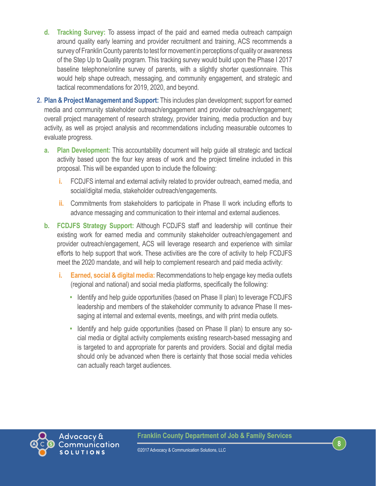- **d. Tracking Survey:** To assess impact of the paid and earned media outreach campaign around quality early learning and provider recruitment and training, ACS recommends a survey of Franklin County parents to test for movement in perceptions of quality or awareness of the Step Up to Quality program. This tracking survey would build upon the Phase I 2017 baseline telephone/online survey of parents, with a slightly shorter questionnaire. This would help shape outreach, messaging, and community engagement, and strategic and tactical recommendations for 2019, 2020, and beyond.
- **2. Plan & Project Management and Support:** This includes plan development; support for earned media and community stakeholder outreach/engagement and provider outreach/engagement; overall project management of research strategy, provider training, media production and buy activity, as well as project analysis and recommendations including measurable outcomes to evaluate progress.
	- **a. Plan Development:** This accountability document will help guide all strategic and tactical activity based upon the four key areas of work and the project timeline included in this proposal. This will be expanded upon to include the following:
		- **i.** FCDJFS internal and external activity related to provider outreach, earned media, and social/digital media, stakeholder outreach/engagements.
		- **ii.** Commitments from stakeholders to participate in Phase II work including efforts to advance messaging and communication to their internal and external audiences.
	- **b. FCDJFS Strategy Support:** Although FCDJFS staff and leadership will continue their existing work for earned media and community stakeholder outreach/engagement and provider outreach/engagement, ACS will leverage research and experience with similar efforts to help support that work. These activities are the core of activity to help FCDJFS meet the 2020 mandate, and will help to complement research and paid media activity:
		- **i. Earned, social & digital media:** Recommendations to help engage key media outlets (regional and national) and social media platforms, specifically the following:
			- **•** Identify and help guide opportunities (based on Phase II plan) to leverage FCDJFS leadership and members of the stakeholder community to advance Phase II messaging at internal and external events, meetings, and with print media outlets.
			- **•** Identify and help guide opportunities (based on Phase II plan) to ensure any social media or digital activity complements existing research-based messaging and is targeted to and appropriate for parents and providers. Social and digital media should only be advanced when there is certainty that those social media vehicles can actually reach target audiences.



**8**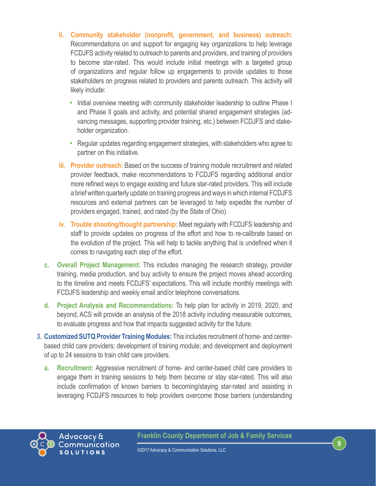- **ii. Community stakeholder (nonprofit, government, and business) outreach:**  Recommendations on and support for engaging key organizations to help leverage FCDJFS activity related to outreach to parents and providers, and training of providers to become star-rated. This would include initial meetings with a targeted group of organizations and regular follow up engagements to provide updates to those stakeholders on progress related to providers and parents outreach. This activity will likely include:
	- **•** Initial overview meeting with community stakeholder leadership to outline Phase I and Phase II goals and activity, and potential shared engagement strategies (advancing messages, supporting provider training, etc.) between FCDJFS and stakeholder organization.
	- **•** Regular updates regarding engagement strategies, with stakeholders who agree to partner on this initiative.
- **iii. Provider outreach:** Based on the success of training module recruitment and related provider feedback, make recommendations to FCDJFS regarding additional and/or more refined ways to engage existing and future star-rated providers. This will include a brief written quarterly update on training progress and ways in which internal FCDJFS resources and external partners can be leveraged to help expedite the number of providers engaged, trained, and rated (by the State of Ohio).
- **iv. Trouble shooting/thought partnership:** Meet regularly with FCDJFS leadership and staff to provide updates on progress of the effort and how to re-calibrate based on the evolution of the project. This will help to tackle anything that is undefined when it comes to navigating each step of the effort.
- **c. Overall Project Management:** This includes managing the research strategy, provider training, media production, and buy activity to ensure the project moves ahead according to the timeline and meets FCDJFS' expectations. This will include monthly meetings with FCDJFS leadership and weekly email and/or telephone conversations.
- **d. Project Analysis and Recommendations:** To help plan for activity in 2019, 2020, and beyond, ACS will provide an analysis of the 2018 activity including measurable outcomes, to evaluate progress and how that impacts suggested activity for the future.
- **3. Customized SUTQ Provider Training Modules:** This includes recruitment of home- and centerbased child care providers; development of training module; and development and deployment of up to 24 sessions to train child care providers.
	- **a. Recruitment:** Aggressive recruitment of home- and center-based child care providers to engage them in training sessions to help them become or stay star-rated. This will also include confirmation of known barriers to becoming/staying star-rated and assisting in leveraging FCDJFS resources to help providers overcome those barriers (understanding

**9**